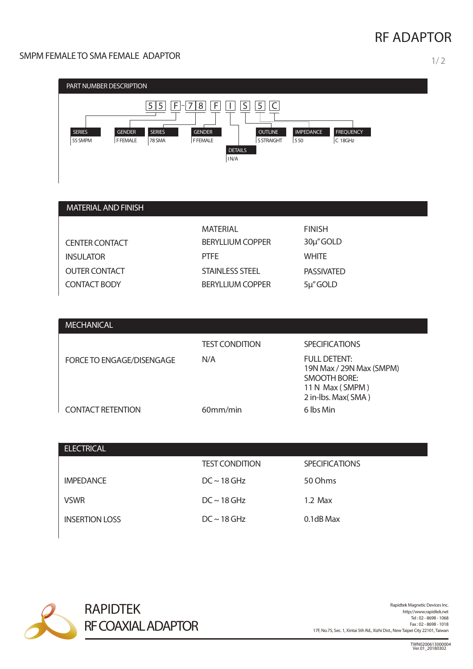# **RF ADAPTOR**

### SMPM FEMALE TO SMA FEMALE ADAPTOR 1/2



| <b>MATERIAL AND FINISH</b> |                         |                   |
|----------------------------|-------------------------|-------------------|
|                            | <b>MATERIAL</b>         | <b>FINISH</b>     |
| <b>CENTER CONTACT</b>      | <b>BERYLLIUM COPPER</b> | 30µ"GOLD          |
| <b>INSULATOR</b>           | <b>PTFE</b>             | <b>WHITE</b>      |
| <b>OUTER CONTACT</b>       | <b>STAINLESS STEEL</b>  | <b>PASSIVATED</b> |
| <b>CONTACT BODY</b>        | <b>BERYLLIUM COPPER</b> | 5µ"GOLD           |

| <b>MECHANICAL</b>         |                       |                                                                                                          |
|---------------------------|-----------------------|----------------------------------------------------------------------------------------------------------|
|                           | <b>TEST CONDITION</b> | <b>SPECIFICATIONS</b>                                                                                    |
| FORCE TO ENGAGE/DISENGAGE | N/A                   | <b>FULL DETENT:</b><br>19N Max / 29N Max (SMPM)<br>SMOOTH BORE:<br>11 N Max (SMPM)<br>2 in-lbs. Max(SMA) |
| <b>CONTACT RETENTION</b>  | 60mm/min              | 6 lbs Min                                                                                                |

| <b>ELECTRICAL</b>     |                       |                       |
|-----------------------|-----------------------|-----------------------|
|                       | <b>TEST CONDITION</b> | <b>SPECIFICATIONS</b> |
| <b>IMPEDANCE</b>      | $DC \sim 18$ GHz      | 50 Ohms               |
| <b>VSWR</b>           | $DC \sim 18$ GHz      | $1.2$ Max             |
| <b>INSERTION LOSS</b> | $DC \sim 18$ GHz      | 0.1dB Max             |



Rapidtek Magnetic Devices Inc.<br>http://www.rapidtek.net Tel : 02 - 8698 - 1068 Fax : 02 - 8698 - 1018 17F, No.75, Sec. 1, Xintai 5th Rd., Xizhi Dist., NewTaipei City 22101,Taiwan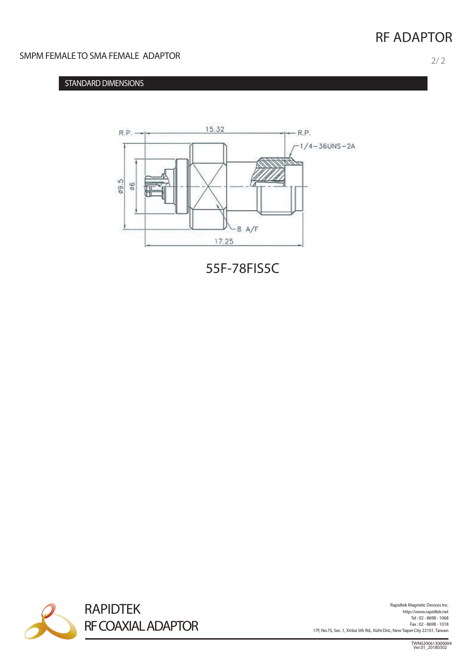## **RF ADAPTOR**

#### SMPM FEMALE TO SMA FEMALE ADAPTOR

### **STANDARD DIMENSIONS**



55F-78FIS5C



Rapidtek Magnetic Devices Inc.<br>http://www.rapidtek.net Tel : 02 - 8698 - 1068 Fax : 02 - 8698 - 1018 17F, No.75, Sec. 1, Xintai 5th Rd., Xizhi Dist., NewTaipei City 22101,Taiwan

TWN0200613000004 Ver.01\_20180302

 $2/2$